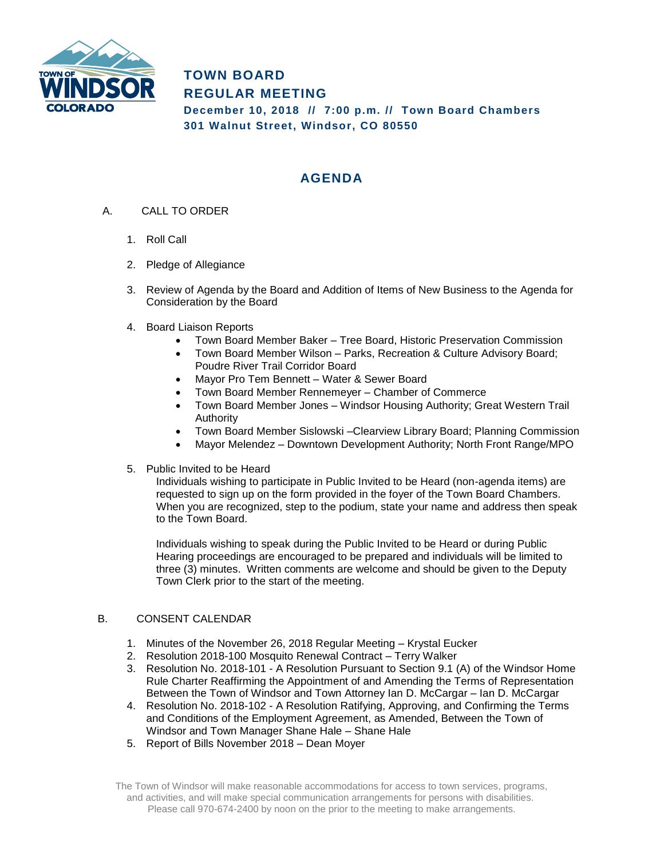

**TOWN BOARD REGULAR MEETING December 10, 2018 // 7:00 p.m. // Town Board Chambers 301 Walnut Street, Windsor, CO 80550**

# **AGENDA**

- A. CALL TO ORDER
	- 1. Roll Call
	- 2. Pledge of Allegiance
	- 3. Review of Agenda by the Board and Addition of Items of New Business to the Agenda for Consideration by the Board
	- 4. Board Liaison Reports
		- Town Board Member Baker Tree Board, Historic Preservation Commission
		- Town Board Member Wilson Parks, Recreation & Culture Advisory Board; Poudre River Trail Corridor Board
		- Mayor Pro Tem Bennett Water & Sewer Board
		- Town Board Member Rennemeyer Chamber of Commerce
		- Town Board Member Jones Windsor Housing Authority; Great Western Trail Authority
		- Town Board Member Sislowski –Clearview Library Board; Planning Commission
		- Mayor Melendez Downtown Development Authority; North Front Range/MPO
	- 5. Public Invited to be Heard

Individuals wishing to participate in Public Invited to be Heard (non-agenda items) are requested to sign up on the form provided in the foyer of the Town Board Chambers. When you are recognized, step to the podium, state your name and address then speak to the Town Board.

Individuals wishing to speak during the Public Invited to be Heard or during Public Hearing proceedings are encouraged to be prepared and individuals will be limited to three (3) minutes. Written comments are welcome and should be given to the Deputy Town Clerk prior to the start of the meeting.

#### B. CONSENT CALENDAR

- 1. Minutes of the November 26, 2018 Regular Meeting Krystal Eucker
- 2. Resolution 2018-100 Mosquito Renewal Contract Terry Walker
- 3. Resolution No. 2018-101 A Resolution Pursuant to Section 9.1 (A) of the Windsor Home Rule Charter Reaffirming the Appointment of and Amending the Terms of Representation Between the Town of Windsor and Town Attorney Ian D. McCargar – Ian D. McCargar
- 4. Resolution No. 2018-102 A Resolution Ratifying, Approving, and Confirming the Terms and Conditions of the Employment Agreement, as Amended, Between the Town of Windsor and Town Manager Shane Hale – Shane Hale
- 5. Report of Bills November 2018 Dean Moyer

The Town of Windsor will make reasonable accommodations for access to town services, programs, and activities, and will make special communication arrangements for persons with disabilities. Please call 970-674-2400 by noon on the prior to the meeting to make arrangements.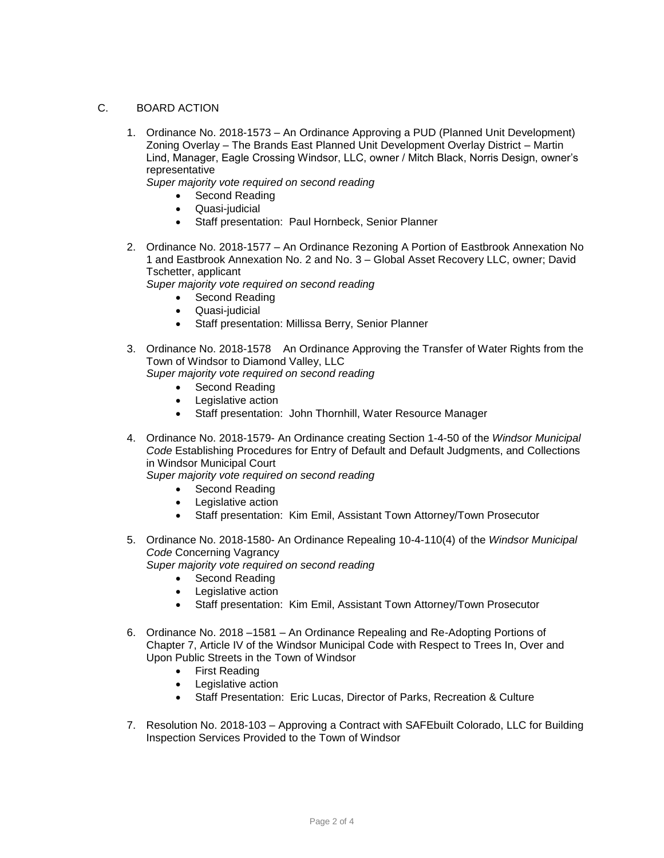#### C. BOARD ACTION

1. Ordinance No. 2018-1573 – An Ordinance Approving a PUD (Planned Unit Development) Zoning Overlay – The Brands East Planned Unit Development Overlay District – Martin Lind, Manager, Eagle Crossing Windsor, LLC, owner / Mitch Black, Norris Design, owner's representative

*Super majority vote required on second reading*

- Second Reading
- Quasi-judicial
- Staff presentation: Paul Hornbeck, Senior Planner
- 2. Ordinance No. 2018-1577 An Ordinance Rezoning A Portion of Eastbrook Annexation No 1 and Eastbrook Annexation No. 2 and No. 3 – Global Asset Recovery LLC, owner; David Tschetter, applicant

*Super majority vote required on second reading*

- Second Reading
- Quasi-judicial
- Staff presentation: Millissa Berry, Senior Planner
- 3. Ordinance No. 2018-1578 An Ordinance Approving the Transfer of Water Rights from the Town of Windsor to Diamond Valley, LLC
	- *Super majority vote required on second reading*
		- Second Reading
		- Legislative action
		- Staff presentation: John Thornhill, Water Resource Manager
- 4. Ordinance No. 2018-1579- An Ordinance creating Section 1-4-50 of the *Windsor Municipal Code* Establishing Procedures for Entry of Default and Default Judgments, and Collections in Windsor Municipal Court

*Super majority vote required on second reading*

- Second Reading
- Legislative action
- Staff presentation: Kim Emil, Assistant Town Attorney/Town Prosecutor
- 5. Ordinance No. 2018-1580- An Ordinance Repealing 10-4-110(4) of the *Windsor Municipal Code* Concerning Vagrancy *Super majority vote required on second reading*
	- Second Reading
	- Legislative action
	- Staff presentation: Kim Emil, Assistant Town Attorney/Town Prosecutor
- 6. Ordinance No. 2018 –1581 An Ordinance Repealing and Re-Adopting Portions of Chapter 7, Article IV of the Windsor Municipal Code with Respect to Trees In, Over and Upon Public Streets in the Town of Windsor
	- First Reading
	- Legislative action
	- Staff Presentation: Eric Lucas, Director of Parks, Recreation & Culture
- 7. Resolution No. 2018-103 Approving a Contract with SAFEbuilt Colorado, LLC for Building Inspection Services Provided to the Town of Windsor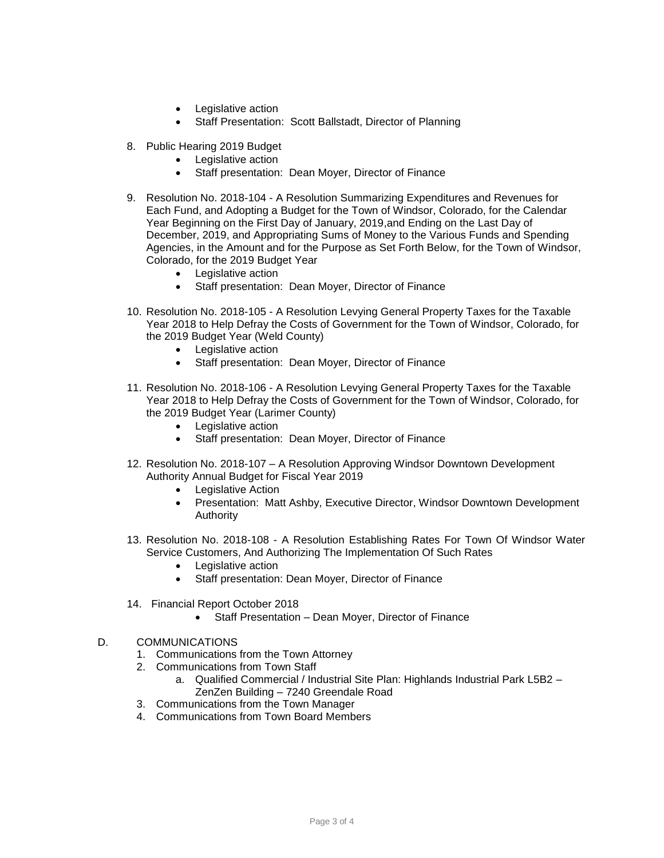- Legislative action
- Staff Presentation: Scott Ballstadt, Director of Planning
- 8. Public Hearing 2019 Budget
	- Legislative action
	- Staff presentation: Dean Moyer, Director of Finance
- 9. Resolution No. 2018-104 A Resolution Summarizing Expenditures and Revenues for Each Fund, and Adopting a Budget for the Town of Windsor, Colorado, for the Calendar Year Beginning on the First Day of January, 2019,and Ending on the Last Day of December, 2019, and Appropriating Sums of Money to the Various Funds and Spending Agencies, in the Amount and for the Purpose as Set Forth Below, for the Town of Windsor, Colorado, for the 2019 Budget Year
	- Legislative action
	- Staff presentation: Dean Moyer, Director of Finance
- 10. Resolution No. 2018-105 A Resolution Levying General Property Taxes for the Taxable Year 2018 to Help Defray the Costs of Government for the Town of Windsor, Colorado, for the 2019 Budget Year (Weld County)
	- Legislative action
	- Staff presentation: Dean Moyer, Director of Finance
- 11. Resolution No. 2018-106 A Resolution Levying General Property Taxes for the Taxable Year 2018 to Help Defray the Costs of Government for the Town of Windsor, Colorado, for the 2019 Budget Year (Larimer County)
	- Legislative action
	- Staff presentation: Dean Moyer, Director of Finance
- 12. Resolution No. 2018-107 A Resolution Approving Windsor Downtown Development Authority Annual Budget for Fiscal Year 2019
	- Legislative Action
	- Presentation: Matt Ashby, Executive Director, Windsor Downtown Development Authority
- 13. Resolution No. 2018-108 A Resolution Establishing Rates For Town Of Windsor Water Service Customers, And Authorizing The Implementation Of Such Rates
	- Legislative action
	- Staff presentation: Dean Moyer, Director of Finance
- 14. Financial Report October 2018
	- Staff Presentation Dean Moyer, Director of Finance
- D. COMMUNICATIONS
	- 1. Communications from the Town Attorney
	- 2. Communications from Town Staff
		- a. Qualified Commercial / Industrial Site Plan: Highlands Industrial Park L5B2 ZenZen Building – 7240 Greendale Road
	- 3. Communications from the Town Manager
	- 4. Communications from Town Board Members